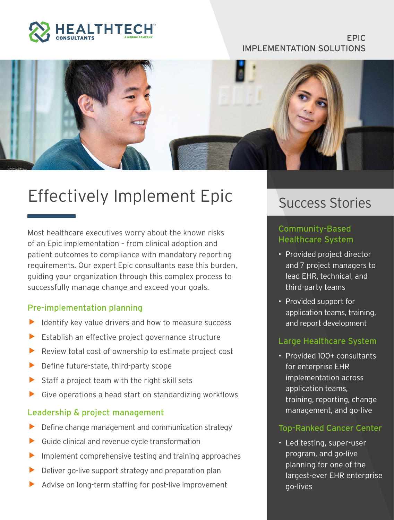

#### EPIC IMPLEMENTATION SOLUTIONS



# Effectively Implement Epic

Most healthcare executives worry about the known risks of an Epic implementation – from clinical adoption and patient outcomes to compliance with mandatory reporting requirements. Our expert Epic consultants ease this burden, guiding your organization through this complex process to successfully manage change and exceed your goals.

#### Pre-implementation planning

- Identify key value drivers and how to measure success
- Establish an effective project governance structure
- $\blacktriangleright$  Review total cost of ownership to estimate project cost
- $\blacktriangleright$  Define future-state, third-party scope
- Staff a project team with the right skill sets
- $\triangleright$  Give operations a head start on standardizing workflows

#### Leadership & project management

- Define change management and communication strategy
- Guide clinical and revenue cycle transformation
- Implement comprehensive testing and training approaches
- Deliver go-live support strategy and preparation plan
- Advise on long-term staffing for post-live improvement

# Success Stories

### Community-Based Healthcare System

- Provided project director and 7 project managers to lead EHR, technical, and third-party teams
- Provided support for application teams, training, and report development

#### Large Healthcare System

• Provided 100+ consultants for enterprise EHR implementation across application teams, training, reporting, change management, and go-live

#### Top-Ranked Cancer Center

• Led testing, super-user program, and go-live planning for one of the largest-ever EHR enterprise go-lives